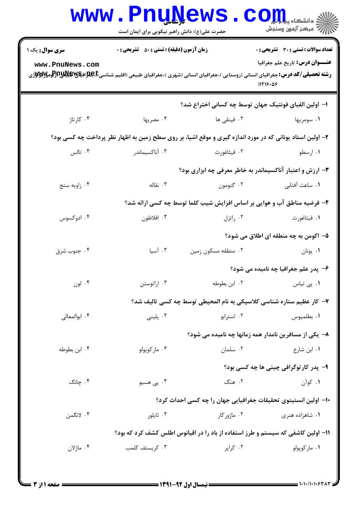|                                                                                                                                                                                           | <b>www.PnuNews</b><br>حضرت علی(ع): دانش راهبر نیکویی برای ایمان است  |                     | CO<br>چ دانشگاه پ <b>یای</b><br>چ<br>رِ ۖ مرڪز آزمون وسنڊش                                                |  |  |  |
|-------------------------------------------------------------------------------------------------------------------------------------------------------------------------------------------|----------------------------------------------------------------------|---------------------|-----------------------------------------------------------------------------------------------------------|--|--|--|
| <b>سری سوال :</b> یک ۱                                                                                                                                                                    | <b>زمان آزمون (دقیقه) : تستی : 50 ٪ تشریحی : 0</b>                   |                     | <b>تعداد سوالات : تستي : 30 ٪ تشريحي : 0</b>                                                              |  |  |  |
| www.PnuNews.com<br><b>رشته تحصیلی/کد درس:</b> جغرافیای انسانی (روستایی )،جغرافیای انسانی (شهری )،جغرافیای طبیعی (اقلیم شناسیCبهایالاویالاویالاویالاویالاوییالاوییالاوییالاوییالاوییا<br>. |                                                                      |                     | <b>عنـــوان درس:</b> تاريخ علم جغرافيا<br>)1119.09                                                        |  |  |  |
|                                                                                                                                                                                           |                                                                      |                     | ا– اولین الفبای فونتیک جهان توسط چه کسانی اختراع شد؟                                                      |  |  |  |
| ۰۴ کارتاژ                                                                                                                                                                                 | ۰۳ مصریها                                                            | ۰۲ فینقی ها         | ۰۱ سومريها                                                                                                |  |  |  |
|                                                                                                                                                                                           |                                                                      |                     | ۲- اولین استاد یونانی که در مورد اندازه گیری و موقع اشیا، بر روی سطح زمین به اظهار نظر پرداخت چه کسی بود؟ |  |  |  |
| ۰۴ تالس                                                                                                                                                                                   | ۰۳ آناكسيماندر                                                       | ۰۲ فیثاغورث         | ۰۱ ارسطو                                                                                                  |  |  |  |
| ۳- ارزش و اعتبار آناکسیماندر به خاطر معرفی چه ابزاری بود؟                                                                                                                                 |                                                                      |                     |                                                                                                           |  |  |  |
| ۰۴ زاويه سنج                                                                                                                                                                              | ۰۳ نقاله                                                             | ۰۲ گنومون           | ٠١ ساعت أفتابي                                                                                            |  |  |  |
| ۴- فرضیه مناطق آب و هوایی بر اساس افزایش شیب کلما توسط چه کسی ارائه شد؟                                                                                                                   |                                                                      |                     |                                                                                                           |  |  |  |
| ۰۴ ادوکسوس                                                                                                                                                                                | ۰۳ افلاطون                                                           | ۰۲ راتزل            | ۰۱ فیثاغورث                                                                                               |  |  |  |
|                                                                                                                                                                                           |                                                                      |                     | ۵– اکومن به چه منطقه ای اطلاق می شود؟                                                                     |  |  |  |
| ۰۴ جنوب شرق                                                                                                                                                                               | ۰۳ آسیا                                                              | ۰۲ منطقه مسکون زمین | ۰۱ يونان                                                                                                  |  |  |  |
|                                                                                                                                                                                           | ۶- پدر علم جغرافیا چه نامیده می شود؟                                 |                     |                                                                                                           |  |  |  |
| ۰۴ لون                                                                                                                                                                                    | ۰۳ اراتوستن                                                          | ۰۲ ابن بطوطه        | ۰۱ پی تیاس                                                                                                |  |  |  |
|                                                                                                                                                                                           | ٧− كار عظيم ستاره شناسي كلاسيكي به نام المحيطي توسط چه كسي تاليف شد؟ |                     |                                                                                                           |  |  |  |
| ۰۴ ابوالمعالی                                                                                                                                                                             | ۰۳ پلینی                                                             | ۰۲ استرابو          | ٠١ بطلميوس                                                                                                |  |  |  |
|                                                                                                                                                                                           |                                                                      |                     | ۸– یکی از مسافرین نامدار همه زمانها چه نامیده می شود؟                                                     |  |  |  |
| ۰۴ ابن بطوطه                                                                                                                                                                              | ۰۳ مارکوپولو                                                         | ٠٢ سلمان            | ۰۱ ابن شارع                                                                                               |  |  |  |
|                                                                                                                                                                                           |                                                                      |                     | ۹- پدر کارتوگرافی چینی ها چه کسی بود؟                                                                     |  |  |  |
| ۰۴ چانگ                                                                                                                                                                                   | ۰۳ پی هسیو                                                           | ۲. هنگ              | ۰۱ کوآن                                                                                                   |  |  |  |
|                                                                                                                                                                                           |                                                                      |                     | ∙ا− اولین انستیتوی تحقیقات جغرافیایی جهان را چه کسی احداث کرد؟                                            |  |  |  |
| ۴. لانگمن                                                                                                                                                                                 | ۰۳ تايلور                                                            | ۰۲ ماژورکار         | ۰۱ شاهزاده هنری                                                                                           |  |  |  |
| 1۱– اولین کاشفی که سیستم و طرز استفاده از باد را در اقیانوس اطلس کشف کرد که بود؟                                                                                                          |                                                                      |                     |                                                                                                           |  |  |  |
| ۰۴ ماژلان                                                                                                                                                                                 | ۰۳ کریستف کلمب                                                       | ۰۲ کرایر            | ٠١ ماركوپولو                                                                                              |  |  |  |
|                                                                                                                                                                                           |                                                                      |                     |                                                                                                           |  |  |  |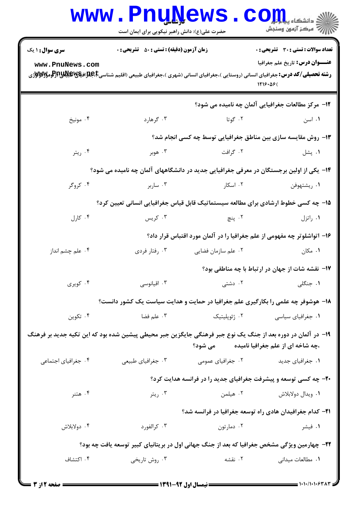|                                                                                                                                                          | <b>WWW.Phunews.com</b><br>حضرت علی(ع): دانش راهبر نیکویی برای ایمان است |                                             | سنجش آزمون وسنجش                                                                                                                                                                 |  |  |
|----------------------------------------------------------------------------------------------------------------------------------------------------------|-------------------------------------------------------------------------|---------------------------------------------|----------------------------------------------------------------------------------------------------------------------------------------------------------------------------------|--|--|
| <b>سری سوال : ۱ یک</b>                                                                                                                                   | <b>زمان آزمون (دقیقه) : تستی : 50 ٪ تشریحی : 0</b>                      |                                             | <b>تعداد سوالات : تستی : 30 ٪ تشریحی : 0</b>                                                                                                                                     |  |  |
| www.PnuNews.com                                                                                                                                          |                                                                         |                                             | <b>عنـــوان درس:</b> تاريخ علم جغرافيا<br><b>رشته تحصیلی/کد درس:</b> جغرافیای انسانی (روستایی )،جغرافیای انسانی (شهری )،جغرافیای طبیعی (اقلیم شناسیCبهایاتیالاتیاللا<br>1119.09( |  |  |
|                                                                                                                                                          |                                                                         |                                             | ۱۲- مرکز مطالعات جغرافیایی آلمان چه نامیده می شود؟                                                                                                                               |  |  |
| ۰۴ مونيخ                                                                                                                                                 | ۰۳ گرهارد                                                               | ۰۲ گوتا                                     | ۰۱ اسن                                                                                                                                                                           |  |  |
|                                                                                                                                                          |                                                                         |                                             | ۱۳- روش مقایسه سازی بین مناطق جغرافیایی توسط چه کسی انجام شد؟                                                                                                                    |  |  |
| ۰۴ ريتر                                                                                                                                                  | ۰۳ هوبر                                                                 | ۰۲ گرافت                                    | ۰۱ پشل                                                                                                                                                                           |  |  |
| ۱۴– یکی از اولین برجستگان در معرفی جغرافیایی جدید در دانشگاههای آلمان چه نامیده می شود؟                                                                  |                                                                         |                                             |                                                                                                                                                                                  |  |  |
| ۰۴ کروگر                                                                                                                                                 | ۰۳ ساربر                                                                | ۰۲ اسکار میباشد. است                        | ۰۱ ريشتهوفن                                                                                                                                                                      |  |  |
| ۱۵– چه کسی خطوط ارشادی برای مطالعه سیستماتیک قابل قیاس جغرافیایی انسانی تعیین کرد؟                                                                       |                                                                         |                                             |                                                                                                                                                                                  |  |  |
| ۰۴ کارل                                                                                                                                                  | ۰۳ کریس                                                                 | ۲. پنچ                                      | ۰۱ راتزل                                                                                                                                                                         |  |  |
|                                                                                                                                                          |                                                                         |                                             | ۱۶– اتواشلوتر چه مفهومی از علم جغرافیا را در آلمان مورد اقتباس قرار داد؟                                                                                                         |  |  |
| ۰۴ علم چشم انداز                                                                                                                                         | ۰۳ رفتار فردي                                                           | ۰۲ علم سازمان فضایی                         | ۰۱ مکان                                                                                                                                                                          |  |  |
|                                                                                                                                                          |                                                                         |                                             | 17- نقشه شات از جهان در ارتباط با چه مناطقی بود؟                                                                                                                                 |  |  |
| ۰۴ کویری                                                                                                                                                 | ۰۳ اقیانوسی                                                             | ۰۲ دشتی                                     | ۱. جنگلی                                                                                                                                                                         |  |  |
|                                                                                                                                                          |                                                                         |                                             | ۱۸- هوشوفر چه علمی را بکارگیری علم جغرافیا در حمایت و هدایت سیاست یک کشور دانست؟                                                                                                 |  |  |
| ۰۴ تکوین                                                                                                                                                 |                                                                         | ۰۲ <sub>ژ</sub> ئوپلیتیک $\cdot$ ۰۳ ملم فضا | ۰۱ جغرافیای سیاسی                                                                                                                                                                |  |  |
| ۱۹– در آلمان در دوره بعد از جنگ یک نوع جبر فرهنگی جایگزین جبر محیطی پیشین شده بود که این تکیه جدید بر فرهنگ<br>،چه شاخه ای از علم جغرافیا نامیده می شود؟ |                                                                         |                                             |                                                                                                                                                                                  |  |  |
| ۰۴ جغرافیای اجتماعی                                                                                                                                      | ۰۳ جغرافیای طبیعی                                                       | ۰۲ جغرافیای عمومی                           | ٠١ جغرافياي جديد                                                                                                                                                                 |  |  |
|                                                                                                                                                          |                                                                         |                                             | ۲۰- چه کسی توسعه و پیشرفت جغرافیای جدید را در فرانسه هدایت کرد؟                                                                                                                  |  |  |
| ۰۴ هتنر                                                                                                                                                  | ۰۳ ريتر                                                                 | ۰۲ هیلمن                                    | ۰۱ ویدال دولابلاش                                                                                                                                                                |  |  |
|                                                                                                                                                          | ۲۱– کدام جغرافیدان هادی راه توسعه جغرافیا در فرانسه شد؟                 |                                             |                                                                                                                                                                                  |  |  |
| ۰۴ دولابلاش                                                                                                                                              | ۰۳ کرالفورد                                                             | ۰۲ دمارتون                                  | ۰۱ فیشر                                                                                                                                                                          |  |  |
| ۲۲- چهارمین ویژگی مشخص جغرافیا که بعد از جنگ جهانی اول در بریتانیای کبیر توسعه یافت چه بود؟                                                              |                                                                         |                                             |                                                                                                                                                                                  |  |  |
| ۰۴ اکتشاف                                                                                                                                                | ۰۳ روش تاریخی                                                           | ۰۲ نقشه                                     | ٠١. مطالعات ميداني                                                                                                                                                               |  |  |